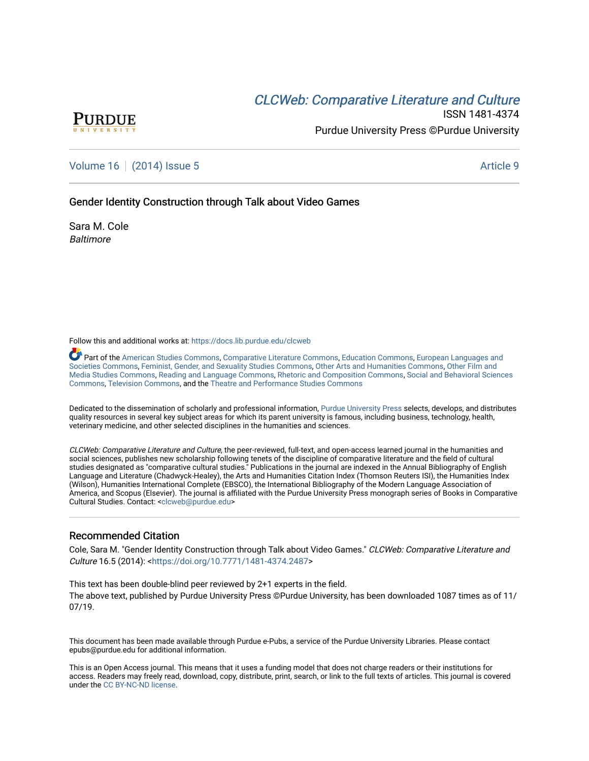# CLCW[eb: Comparative Liter](https://docs.lib.purdue.edu/clcweb)ature and Culture



ISSN 1481-4374 Purdue University Press ©Purdue University

## [Volume 16](https://docs.lib.purdue.edu/clcweb/vol16) | [\(2014\) Issue 5](https://docs.lib.purdue.edu/clcweb/vol16/iss5) Article 9

Gender Identity Construction through Talk about Video Games

Sara M. Cole **Baltimore** 

Follow this and additional works at: [https://docs.lib.purdue.edu/clcweb](https://docs.lib.purdue.edu/clcweb?utm_source=docs.lib.purdue.edu%2Fclcweb%2Fvol16%2Fiss5%2F9&utm_medium=PDF&utm_campaign=PDFCoverPages)

Part of the [American Studies Commons](http://network.bepress.com/hgg/discipline/439?utm_source=docs.lib.purdue.edu%2Fclcweb%2Fvol16%2Fiss5%2F9&utm_medium=PDF&utm_campaign=PDFCoverPages), [Comparative Literature Commons,](http://network.bepress.com/hgg/discipline/454?utm_source=docs.lib.purdue.edu%2Fclcweb%2Fvol16%2Fiss5%2F9&utm_medium=PDF&utm_campaign=PDFCoverPages) [Education Commons,](http://network.bepress.com/hgg/discipline/784?utm_source=docs.lib.purdue.edu%2Fclcweb%2Fvol16%2Fiss5%2F9&utm_medium=PDF&utm_campaign=PDFCoverPages) [European Languages and](http://network.bepress.com/hgg/discipline/482?utm_source=docs.lib.purdue.edu%2Fclcweb%2Fvol16%2Fiss5%2F9&utm_medium=PDF&utm_campaign=PDFCoverPages) [Societies Commons](http://network.bepress.com/hgg/discipline/482?utm_source=docs.lib.purdue.edu%2Fclcweb%2Fvol16%2Fiss5%2F9&utm_medium=PDF&utm_campaign=PDFCoverPages), [Feminist, Gender, and Sexuality Studies Commons,](http://network.bepress.com/hgg/discipline/559?utm_source=docs.lib.purdue.edu%2Fclcweb%2Fvol16%2Fiss5%2F9&utm_medium=PDF&utm_campaign=PDFCoverPages) [Other Arts and Humanities Commons](http://network.bepress.com/hgg/discipline/577?utm_source=docs.lib.purdue.edu%2Fclcweb%2Fvol16%2Fiss5%2F9&utm_medium=PDF&utm_campaign=PDFCoverPages), [Other Film and](http://network.bepress.com/hgg/discipline/565?utm_source=docs.lib.purdue.edu%2Fclcweb%2Fvol16%2Fiss5%2F9&utm_medium=PDF&utm_campaign=PDFCoverPages)  [Media Studies Commons](http://network.bepress.com/hgg/discipline/565?utm_source=docs.lib.purdue.edu%2Fclcweb%2Fvol16%2Fiss5%2F9&utm_medium=PDF&utm_campaign=PDFCoverPages), [Reading and Language Commons](http://network.bepress.com/hgg/discipline/1037?utm_source=docs.lib.purdue.edu%2Fclcweb%2Fvol16%2Fiss5%2F9&utm_medium=PDF&utm_campaign=PDFCoverPages), [Rhetoric and Composition Commons,](http://network.bepress.com/hgg/discipline/573?utm_source=docs.lib.purdue.edu%2Fclcweb%2Fvol16%2Fiss5%2F9&utm_medium=PDF&utm_campaign=PDFCoverPages) [Social and Behavioral Sciences](http://network.bepress.com/hgg/discipline/316?utm_source=docs.lib.purdue.edu%2Fclcweb%2Fvol16%2Fiss5%2F9&utm_medium=PDF&utm_campaign=PDFCoverPages) [Commons,](http://network.bepress.com/hgg/discipline/316?utm_source=docs.lib.purdue.edu%2Fclcweb%2Fvol16%2Fiss5%2F9&utm_medium=PDF&utm_campaign=PDFCoverPages) [Television Commons,](http://network.bepress.com/hgg/discipline/1143?utm_source=docs.lib.purdue.edu%2Fclcweb%2Fvol16%2Fiss5%2F9&utm_medium=PDF&utm_campaign=PDFCoverPages) and the [Theatre and Performance Studies Commons](http://network.bepress.com/hgg/discipline/552?utm_source=docs.lib.purdue.edu%2Fclcweb%2Fvol16%2Fiss5%2F9&utm_medium=PDF&utm_campaign=PDFCoverPages)

Dedicated to the dissemination of scholarly and professional information, [Purdue University Press](http://www.thepress.purdue.edu/) selects, develops, and distributes quality resources in several key subject areas for which its parent university is famous, including business, technology, health, veterinary medicine, and other selected disciplines in the humanities and sciences.

CLCWeb: Comparative Literature and Culture, the peer-reviewed, full-text, and open-access learned journal in the humanities and social sciences, publishes new scholarship following tenets of the discipline of comparative literature and the field of cultural studies designated as "comparative cultural studies." Publications in the journal are indexed in the Annual Bibliography of English Language and Literature (Chadwyck-Healey), the Arts and Humanities Citation Index (Thomson Reuters ISI), the Humanities Index (Wilson), Humanities International Complete (EBSCO), the International Bibliography of the Modern Language Association of America, and Scopus (Elsevier). The journal is affiliated with the Purdue University Press monograph series of Books in Comparative Cultural Studies. Contact: [<clcweb@purdue.edu](mailto:clcweb@purdue.edu)>

#### Recommended Citation

Cole, Sara M. "Gender Identity Construction through Talk about Video Games." CLCWeb: Comparative Literature and Culture 16.5 (2014): <[https://doi.org/10.7771/1481-4374.2487>](https://doi.org/10.7771/1481-4374.2487)

This text has been double-blind peer reviewed by 2+1 experts in the field. The above text, published by Purdue University Press ©Purdue University, has been downloaded 1087 times as of 11/ 07/19.

This document has been made available through Purdue e-Pubs, a service of the Purdue University Libraries. Please contact epubs@purdue.edu for additional information.

This is an Open Access journal. This means that it uses a funding model that does not charge readers or their institutions for access. Readers may freely read, download, copy, distribute, print, search, or link to the full texts of articles. This journal is covered under the [CC BY-NC-ND license.](https://creativecommons.org/licenses/by-nc-nd/4.0/)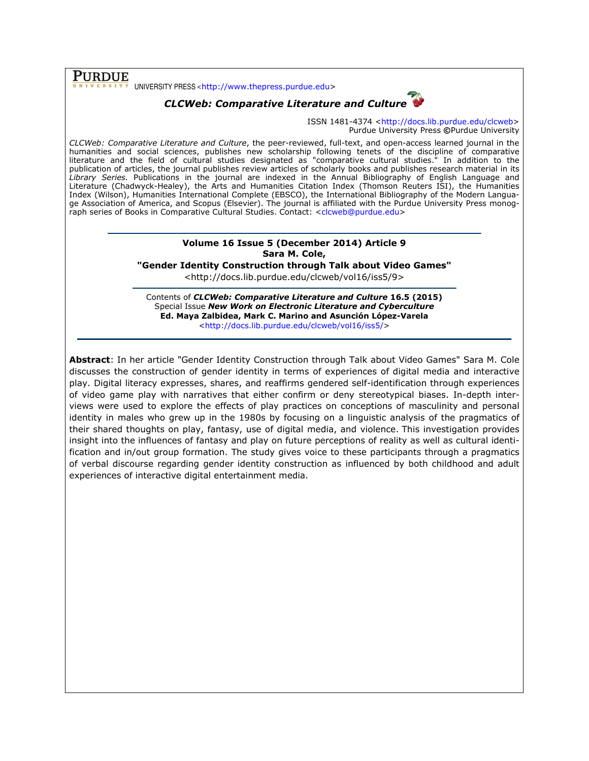**PURDUE**  $\bar{X}$  UNIVERSITY PRESS <http://www.thepress.purdue.edu>

## CLCWeb: Comparative Literature and Culture

ISSN 1481-4374 <http://docs.lib.purdue.edu/clcweb> Purdue University Press ©Purdue University

CLCWeb: Comparative Literature and Culture, the peer-reviewed, full-text, and open-access learned journal in the humanities and social sciences, publishes new scholarship following tenets of the discipline of comparative literature and the field of cultural studies designated as "comparative cultural studies." In addition to the publication of articles, the journal publishes review articles of scholarly books and publishes research material in its Library Series. Publications in the journal are indexed in the Annual Bibliography of English Language and Literature (Chadwyck-Healey), the Arts and Humanities Citation Index (Thomson Reuters ISI), the Humanities Index (Wilson), Humanities International Complete (EBSCO), the International Bibliography of the Modern Language Association of America, and Scopus (Elsevier). The journal is affiliated with the Purdue University Press monograph series of Books in Comparative Cultural Studies. Contact: <clcweb@purdue.edu>

### Volume 16 Issue 5 (December 2014) Article 9 Sara M. Cole,

"Gender Identity Construction through Talk about Video Games"

<http://docs.lib.purdue.edu/clcweb/vol16/iss5/9>

Contents of CLCWeb: Comparative Literature and Culture 16.5 (2015) Special Issue New Work on Electronic Literature and Cyberculture Ed. Maya Zalbidea, Mark C. Marino and Asunción López-Varela <http://docs.lib.purdue.edu/clcweb/vol16/iss5/>

Abstract: In her article "Gender Identity Construction through Talk about Video Games" Sara M. Cole discusses the construction of gender identity in terms of experiences of digital media and interactive play. Digital literacy expresses, shares, and reaffirms gendered self-identification through experiences of video game play with narratives that either confirm or deny stereotypical biases. In-depth interviews were used to explore the effects of play practices on conceptions of masculinity and personal identity in males who grew up in the 1980s by focusing on a linguistic analysis of the pragmatics of their shared thoughts on play, fantasy, use of digital media, and violence. This investigation provides insight into the influences of fantasy and play on future perceptions of reality as well as cultural identification and in/out group formation. The study gives voice to these participants through a pragmatics of verbal discourse regarding gender identity construction as influenced by both childhood and adult experiences of interactive digital entertainment media.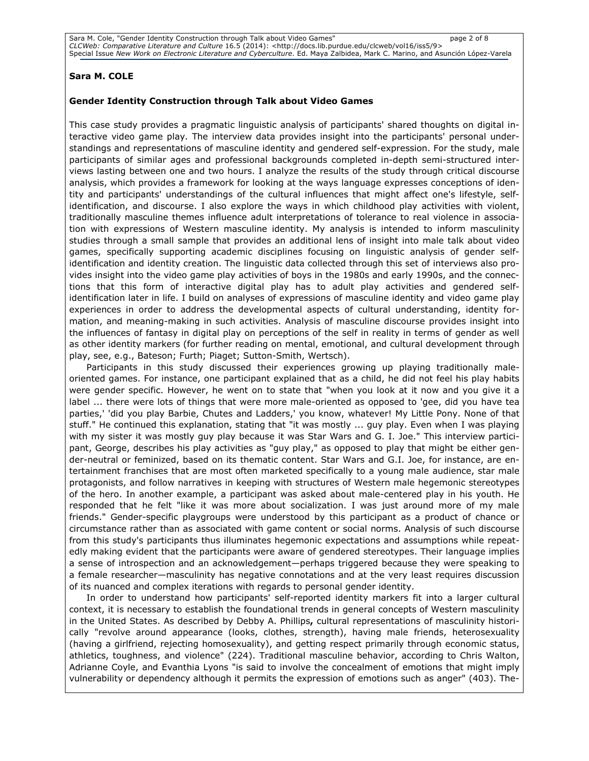#### Sara M. COLE

#### Gender Identity Construction through Talk about Video Games

This case study provides a pragmatic linguistic analysis of participants' shared thoughts on digital interactive video game play. The interview data provides insight into the participants' personal understandings and representations of masculine identity and gendered self-expression. For the study, male participants of similar ages and professional backgrounds completed in-depth semi-structured interviews lasting between one and two hours. I analyze the results of the study through critical discourse analysis, which provides a framework for looking at the ways language expresses conceptions of identity and participants' understandings of the cultural influences that might affect one's lifestyle, selfidentification, and discourse. I also explore the ways in which childhood play activities with violent, traditionally masculine themes influence adult interpretations of tolerance to real violence in association with expressions of Western masculine identity. My analysis is intended to inform masculinity studies through a small sample that provides an additional lens of insight into male talk about video games, specifically supporting academic disciplines focusing on linguistic analysis of gender selfidentification and identity creation. The linguistic data collected through this set of interviews also provides insight into the video game play activities of boys in the 1980s and early 1990s, and the connections that this form of interactive digital play has to adult play activities and gendered selfidentification later in life. I build on analyses of expressions of masculine identity and video game play experiences in order to address the developmental aspects of cultural understanding, identity formation, and meaning-making in such activities. Analysis of masculine discourse provides insight into the influences of fantasy in digital play on perceptions of the self in reality in terms of gender as well as other identity markers (for further reading on mental, emotional, and cultural development through play, see, e.g., Bateson; Furth; Piaget; Sutton-Smith, Wertsch).

Participants in this study discussed their experiences growing up playing traditionally maleoriented games. For instance, one participant explained that as a child, he did not feel his play habits were gender specific. However, he went on to state that "when you look at it now and you give it a label ... there were lots of things that were more male-oriented as opposed to 'gee, did you have tea parties,' 'did you play Barbie, Chutes and Ladders,' you know, whatever! My Little Pony. None of that stuff." He continued this explanation, stating that "it was mostly ... guy play. Even when I was playing with my sister it was mostly guy play because it was Star Wars and G. I. Joe." This interview participant, George, describes his play activities as "guy play," as opposed to play that might be either gender-neutral or feminized, based on its thematic content. Star Wars and G.I. Joe, for instance, are entertainment franchises that are most often marketed specifically to a young male audience, star male protagonists, and follow narratives in keeping with structures of Western male hegemonic stereotypes of the hero. In another example, a participant was asked about male-centered play in his youth. He responded that he felt "like it was more about socialization. I was just around more of my male friends." Gender-specific playgroups were understood by this participant as a product of chance or circumstance rather than as associated with game content or social norms. Analysis of such discourse from this study's participants thus illuminates hegemonic expectations and assumptions while repeatedly making evident that the participants were aware of gendered stereotypes. Their language implies a sense of introspection and an acknowledgement—perhaps triggered because they were speaking to a female researcher—masculinity has negative connotations and at the very least requires discussion of its nuanced and complex iterations with regards to personal gender identity.

In order to understand how participants' self-reported identity markers fit into a larger cultural context, it is necessary to establish the foundational trends in general concepts of Western masculinity in the United States. As described by Debby A. Phillips, cultural representations of masculinity historically "revolve around appearance (looks, clothes, strength), having male friends, heterosexuality (having a girlfriend, rejecting homosexuality), and getting respect primarily through economic status, athletics, toughness, and violence" (224). Traditional masculine behavior, according to Chris Walton, Adrianne Coyle, and Evanthia Lyons "is said to involve the concealment of emotions that might imply vulnerability or dependency although it permits the expression of emotions such as anger" (403). The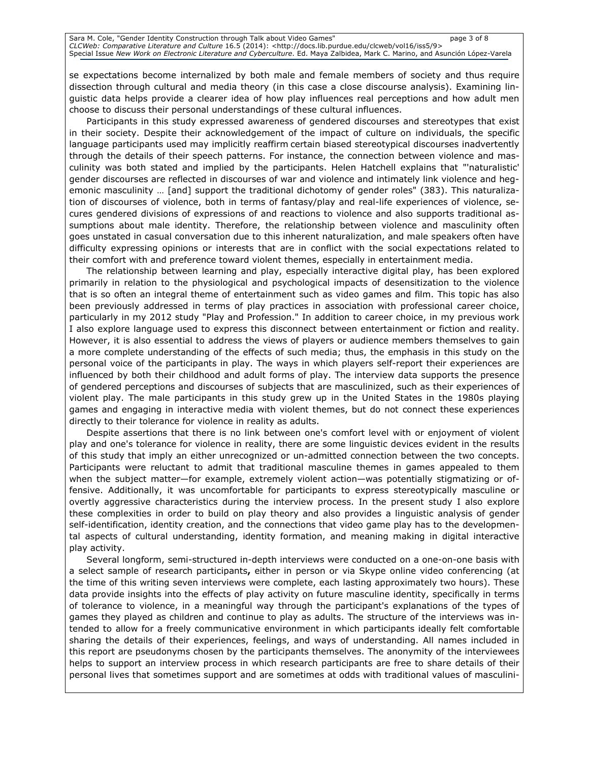se expectations become internalized by both male and female members of society and thus require dissection through cultural and media theory (in this case a close discourse analysis). Examining linguistic data helps provide a clearer idea of how play influences real perceptions and how adult men choose to discuss their personal understandings of these cultural influences.

Participants in this study expressed awareness of gendered discourses and stereotypes that exist in their society. Despite their acknowledgement of the impact of culture on individuals, the specific language participants used may implicitly reaffirm certain biased stereotypical discourses inadvertently through the details of their speech patterns. For instance, the connection between violence and masculinity was both stated and implied by the participants. Helen Hatchell explains that "'naturalistic' gender discourses are reflected in discourses of war and violence and intimately link violence and hegemonic masculinity … [and] support the traditional dichotomy of gender roles" (383). This naturalization of discourses of violence, both in terms of fantasy/play and real-life experiences of violence, secures gendered divisions of expressions of and reactions to violence and also supports traditional assumptions about male identity. Therefore, the relationship between violence and masculinity often goes unstated in casual conversation due to this inherent naturalization, and male speakers often have difficulty expressing opinions or interests that are in conflict with the social expectations related to their comfort with and preference toward violent themes, especially in entertainment media.

The relationship between learning and play, especially interactive digital play, has been explored primarily in relation to the physiological and psychological impacts of desensitization to the violence that is so often an integral theme of entertainment such as video games and film. This topic has also been previously addressed in terms of play practices in association with professional career choice, particularly in my 2012 study "Play and Profession." In addition to career choice, in my previous work I also explore language used to express this disconnect between entertainment or fiction and reality. However, it is also essential to address the views of players or audience members themselves to gain a more complete understanding of the effects of such media; thus, the emphasis in this study on the personal voice of the participants in play. The ways in which players self-report their experiences are influenced by both their childhood and adult forms of play. The interview data supports the presence of gendered perceptions and discourses of subjects that are masculinized, such as their experiences of violent play. The male participants in this study grew up in the United States in the 1980s playing games and engaging in interactive media with violent themes, but do not connect these experiences directly to their tolerance for violence in reality as adults.

Despite assertions that there is no link between one's comfort level with or enjoyment of violent play and one's tolerance for violence in reality, there are some linguistic devices evident in the results of this study that imply an either unrecognized or un-admitted connection between the two concepts. Participants were reluctant to admit that traditional masculine themes in games appealed to them when the subject matter—for example, extremely violent action—was potentially stigmatizing or offensive. Additionally, it was uncomfortable for participants to express stereotypically masculine or overtly aggressive characteristics during the interview process. In the present study I also explore these complexities in order to build on play theory and also provides a linguistic analysis of gender self-identification, identity creation, and the connections that video game play has to the developmental aspects of cultural understanding, identity formation, and meaning making in digital interactive play activity.

Several longform, semi-structured in-depth interviews were conducted on a one-on-one basis with a select sample of research participants, either in person or via Skype online video conferencing (at the time of this writing seven interviews were complete, each lasting approximately two hours). These data provide insights into the effects of play activity on future masculine identity, specifically in terms of tolerance to violence, in a meaningful way through the participant's explanations of the types of games they played as children and continue to play as adults. The structure of the interviews was intended to allow for a freely communicative environment in which participants ideally felt comfortable sharing the details of their experiences, feelings, and ways of understanding. All names included in this report are pseudonyms chosen by the participants themselves. The anonymity of the interviewees helps to support an interview process in which research participants are free to share details of their personal lives that sometimes support and are sometimes at odds with traditional values of masculini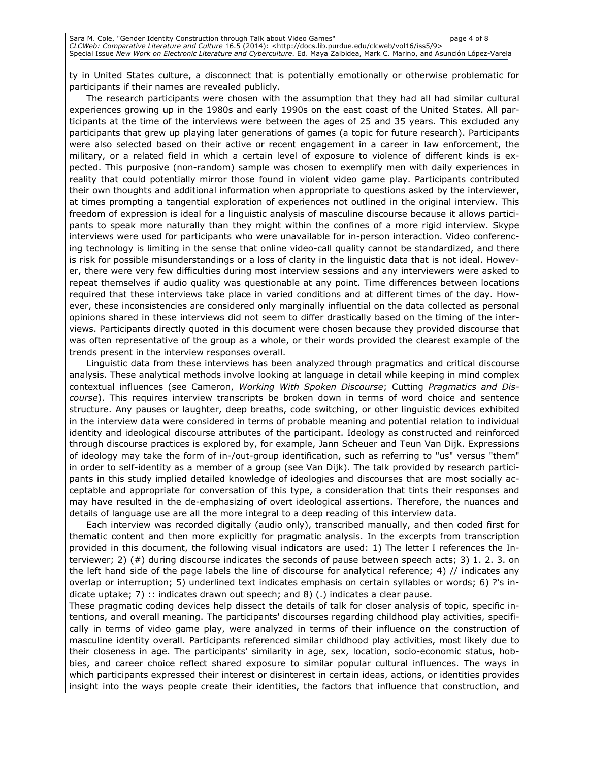ty in United States culture, a disconnect that is potentially emotionally or otherwise problematic for participants if their names are revealed publicly.

The research participants were chosen with the assumption that they had all had similar cultural experiences growing up in the 1980s and early 1990s on the east coast of the United States. All participants at the time of the interviews were between the ages of 25 and 35 years. This excluded any participants that grew up playing later generations of games (a topic for future research). Participants were also selected based on their active or recent engagement in a career in law enforcement, the military, or a related field in which a certain level of exposure to violence of different kinds is expected. This purposive (non-random) sample was chosen to exemplify men with daily experiences in reality that could potentially mirror those found in violent video game play. Participants contributed their own thoughts and additional information when appropriate to questions asked by the interviewer, at times prompting a tangential exploration of experiences not outlined in the original interview. This freedom of expression is ideal for a linguistic analysis of masculine discourse because it allows participants to speak more naturally than they might within the confines of a more rigid interview. Skype interviews were used for participants who were unavailable for in-person interaction. Video conferencing technology is limiting in the sense that online video-call quality cannot be standardized, and there is risk for possible misunderstandings or a loss of clarity in the linguistic data that is not ideal. However, there were very few difficulties during most interview sessions and any interviewers were asked to repeat themselves if audio quality was questionable at any point. Time differences between locations required that these interviews take place in varied conditions and at different times of the day. However, these inconsistencies are considered only marginally influential on the data collected as personal opinions shared in these interviews did not seem to differ drastically based on the timing of the interviews. Participants directly quoted in this document were chosen because they provided discourse that was often representative of the group as a whole, or their words provided the clearest example of the trends present in the interview responses overall.

Linguistic data from these interviews has been analyzed through pragmatics and critical discourse analysis. These analytical methods involve looking at language in detail while keeping in mind complex contextual influences (see Cameron, Working With Spoken Discourse; Cutting Pragmatics and Discourse). This requires interview transcripts be broken down in terms of word choice and sentence structure. Any pauses or laughter, deep breaths, code switching, or other linguistic devices exhibited in the interview data were considered in terms of probable meaning and potential relation to individual identity and ideological discourse attributes of the participant. Ideology as constructed and reinforced through discourse practices is explored by, for example, Jann Scheuer and Teun Van Dijk. Expressions of ideology may take the form of in-/out-group identification, such as referring to "us" versus "them" in order to self-identity as a member of a group (see Van Dijk). The talk provided by research participants in this study implied detailed knowledge of ideologies and discourses that are most socially acceptable and appropriate for conversation of this type, a consideration that tints their responses and may have resulted in the de-emphasizing of overt ideological assertions. Therefore, the nuances and details of language use are all the more integral to a deep reading of this interview data.

Each interview was recorded digitally (audio only), transcribed manually, and then coded first for thematic content and then more explicitly for pragmatic analysis. In the excerpts from transcription provided in this document, the following visual indicators are used: 1) The letter I references the Interviewer; 2) (#) during discourse indicates the seconds of pause between speech acts; 3) 1. 2. 3. on the left hand side of the page labels the line of discourse for analytical reference; 4) // indicates any overlap or interruption; 5) underlined text indicates emphasis on certain syllables or words; 6) ?'s indicate uptake; 7) :: indicates drawn out speech; and 8) (.) indicates a clear pause.

These pragmatic coding devices help dissect the details of talk for closer analysis of topic, specific intentions, and overall meaning. The participants' discourses regarding childhood play activities, specifically in terms of video game play, were analyzed in terms of their influence on the construction of masculine identity overall. Participants referenced similar childhood play activities, most likely due to their closeness in age. The participants' similarity in age, sex, location, socio-economic status, hobbies, and career choice reflect shared exposure to similar popular cultural influences. The ways in which participants expressed their interest or disinterest in certain ideas, actions, or identities provides insight into the ways people create their identities, the factors that influence that construction, and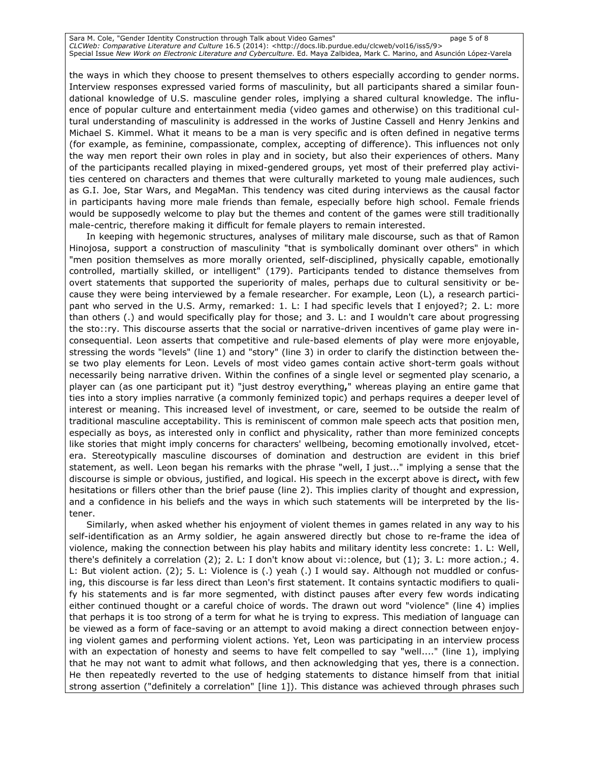Sara M. Cole, "Gender Identity Construction through Talk about Video Games" page 5 of 8 CLCWeb: Comparative Literature and Culture 16.5 (2014): <http://docs.lib.purdue.edu/clcweb/vol16/iss5/9> Special Issue New Work on Electronic Literature and Cyberculture. Ed. Maya Zalbidea, Mark C. Marino, and Asunción López-Varela

the ways in which they choose to present themselves to others especially according to gender norms. Interview responses expressed varied forms of masculinity, but all participants shared a similar foundational knowledge of U.S. masculine gender roles, implying a shared cultural knowledge. The influence of popular culture and entertainment media (video games and otherwise) on this traditional cultural understanding of masculinity is addressed in the works of Justine Cassell and Henry Jenkins and Michael S. Kimmel. What it means to be a man is very specific and is often defined in negative terms (for example, as feminine, compassionate, complex, accepting of difference). This influences not only the way men report their own roles in play and in society, but also their experiences of others. Many of the participants recalled playing in mixed-gendered groups, yet most of their preferred play activities centered on characters and themes that were culturally marketed to young male audiences, such as G.I. Joe, Star Wars, and MegaMan. This tendency was cited during interviews as the causal factor in participants having more male friends than female, especially before high school. Female friends would be supposedly welcome to play but the themes and content of the games were still traditionally male-centric, therefore making it difficult for female players to remain interested.

In keeping with hegemonic structures, analyses of military male discourse, such as that of Ramon Hinojosa, support a construction of masculinity "that is symbolically dominant over others" in which "men position themselves as more morally oriented, self-disciplined, physically capable, emotionally controlled, martially skilled, or intelligent" (179). Participants tended to distance themselves from overt statements that supported the superiority of males, perhaps due to cultural sensitivity or because they were being interviewed by a female researcher. For example, Leon (L), a research participant who served in the U.S. Army, remarked: 1. L: I had specific levels that I enjoyed?; 2. L: more than others (.) and would specifically play for those; and 3. L: and I wouldn't care about progressing the sto::ry. This discourse asserts that the social or narrative-driven incentives of game play were inconsequential. Leon asserts that competitive and rule-based elements of play were more enjoyable, stressing the words "levels" (line 1) and "story" (line 3) in order to clarify the distinction between these two play elements for Leon. Levels of most video games contain active short-term goals without necessarily being narrative driven. Within the confines of a single level or segmented play scenario, a player can (as one participant put it) "just destroy everything," whereas playing an entire game that ties into a story implies narrative (a commonly feminized topic) and perhaps requires a deeper level of interest or meaning. This increased level of investment, or care, seemed to be outside the realm of traditional masculine acceptability. This is reminiscent of common male speech acts that position men, especially as boys, as interested only in conflict and physicality, rather than more feminized concepts like stories that might imply concerns for characters' wellbeing, becoming emotionally involved, etcetera. Stereotypically masculine discourses of domination and destruction are evident in this brief statement, as well. Leon began his remarks with the phrase "well, I just..." implying a sense that the discourse is simple or obvious, justified, and logical. His speech in the excerpt above is direct, with few hesitations or fillers other than the brief pause (line 2). This implies clarity of thought and expression, and a confidence in his beliefs and the ways in which such statements will be interpreted by the listener.

Similarly, when asked whether his enjoyment of violent themes in games related in any way to his self-identification as an Army soldier, he again answered directly but chose to re-frame the idea of violence, making the connection between his play habits and military identity less concrete: 1. L: Well, there's definitely a correlation (2); 2. L: I don't know about vi::olence, but (1); 3. L: more action.; 4. L: But violent action. (2); 5. L: Violence is (.) yeah (.) I would say. Although not muddled or confusing, this discourse is far less direct than Leon's first statement. It contains syntactic modifiers to qualify his statements and is far more segmented, with distinct pauses after every few words indicating either continued thought or a careful choice of words. The drawn out word "violence" (line 4) implies that perhaps it is too strong of a term for what he is trying to express. This mediation of language can be viewed as a form of face-saving or an attempt to avoid making a direct connection between enjoying violent games and performing violent actions. Yet, Leon was participating in an interview process with an expectation of honesty and seems to have felt compelled to say "well...." (line 1), implying that he may not want to admit what follows, and then acknowledging that yes, there is a connection. He then repeatedly reverted to the use of hedging statements to distance himself from that initial strong assertion ("definitely a correlation" [line 1]). This distance was achieved through phrases such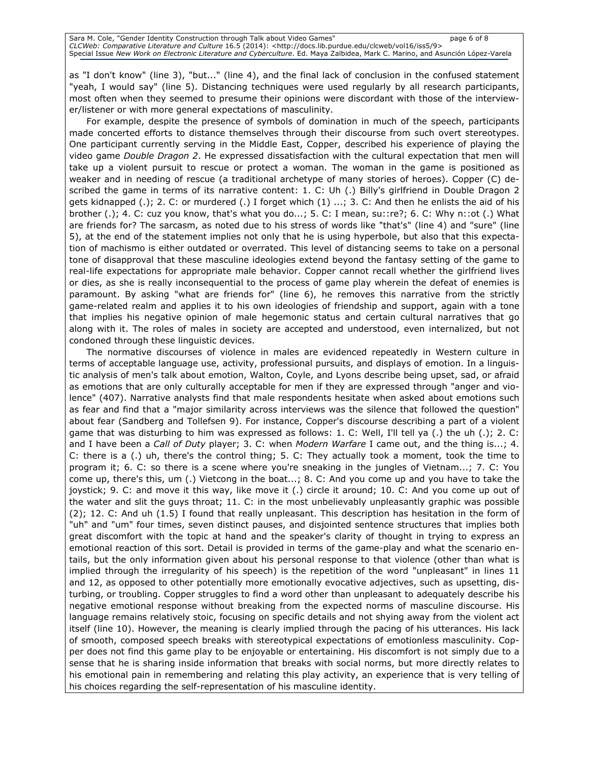as "I don't know" (line 3), "but..." (line 4), and the final lack of conclusion in the confused statement "yeah, I would say" (line 5). Distancing techniques were used regularly by all research participants, most often when they seemed to presume their opinions were discordant with those of the interviewer/listener or with more general expectations of masculinity.

For example, despite the presence of symbols of domination in much of the speech, participants made concerted efforts to distance themselves through their discourse from such overt stereotypes. One participant currently serving in the Middle East, Copper, described his experience of playing the video game Double Dragon 2. He expressed dissatisfaction with the cultural expectation that men will take up a violent pursuit to rescue or protect a woman. The woman in the game is positioned as weaker and in needing of rescue (a traditional archetype of many stories of heroes). Copper (C) described the game in terms of its narrative content: 1. C: Uh (.) Billy's girlfriend in Double Dragon 2 gets kidnapped (.); 2. C: or murdered (.) I forget which (1) ...; 3. C: And then he enlists the aid of his brother (.); 4. C: cuz you know, that's what you do...; 5. C: I mean, su::re?; 6. C: Why n::ot (.) What are friends for? The sarcasm, as noted due to his stress of words like "that's" (line 4) and "sure" (line 5), at the end of the statement implies not only that he is using hyperbole, but also that this expectation of machismo is either outdated or overrated. This level of distancing seems to take on a personal tone of disapproval that these masculine ideologies extend beyond the fantasy setting of the game to real-life expectations for appropriate male behavior. Copper cannot recall whether the girlfriend lives or dies, as she is really inconsequential to the process of game play wherein the defeat of enemies is paramount. By asking "what are friends for" (line 6), he removes this narrative from the strictly game-related realm and applies it to his own ideologies of friendship and support, again with a tone that implies his negative opinion of male hegemonic status and certain cultural narratives that go along with it. The roles of males in society are accepted and understood, even internalized, but not condoned through these linguistic devices.

The normative discourses of violence in males are evidenced repeatedly in Western culture in terms of acceptable language use, activity, professional pursuits, and displays of emotion. In a linguistic analysis of men's talk about emotion, Walton, Coyle, and Lyons describe being upset, sad, or afraid as emotions that are only culturally acceptable for men if they are expressed through "anger and violence" (407). Narrative analysts find that male respondents hesitate when asked about emotions such as fear and find that a "major similarity across interviews was the silence that followed the question" about fear (Sandberg and Tollefsen 9). For instance, Copper's discourse describing a part of a violent game that was disturbing to him was expressed as follows: 1. C: Well, I'll tell ya (.) the uh (.); 2. C: and I have been a Call of Duty player; 3. C: when Modern Warfare I came out, and the thing is...; 4. C: there is a (.) uh, there's the control thing; 5. C: They actually took a moment, took the time to program it; 6. C: so there is a scene where you're sneaking in the jungles of Vietnam...; 7. C: You come up, there's this, um (.) Vietcong in the boat...; 8. C: And you come up and you have to take the joystick; 9. C: and move it this way, like move it (.) circle it around; 10. C: And you come up out of the water and slit the guys throat; 11. C: in the most unbelievably unpleasantly graphic was possible (2); 12. C: And uh (1.5) I found that really unpleasant. This description has hesitation in the form of "uh" and "um" four times, seven distinct pauses, and disjointed sentence structures that implies both great discomfort with the topic at hand and the speaker's clarity of thought in trying to express an emotional reaction of this sort. Detail is provided in terms of the game-play and what the scenario entails, but the only information given about his personal response to that violence (other than what is implied through the irregularity of his speech) is the repetition of the word "unpleasant" in lines 11 and 12, as opposed to other potentially more emotionally evocative adjectives, such as upsetting, disturbing, or troubling. Copper struggles to find a word other than unpleasant to adequately describe his negative emotional response without breaking from the expected norms of masculine discourse. His language remains relatively stoic, focusing on specific details and not shying away from the violent act itself (line 10). However, the meaning is clearly implied through the pacing of his utterances. His lack of smooth, composed speech breaks with stereotypical expectations of emotionless masculinity. Copper does not find this game play to be enjoyable or entertaining. His discomfort is not simply due to a sense that he is sharing inside information that breaks with social norms, but more directly relates to his emotional pain in remembering and relating this play activity, an experience that is very telling of his choices regarding the self-representation of his masculine identity.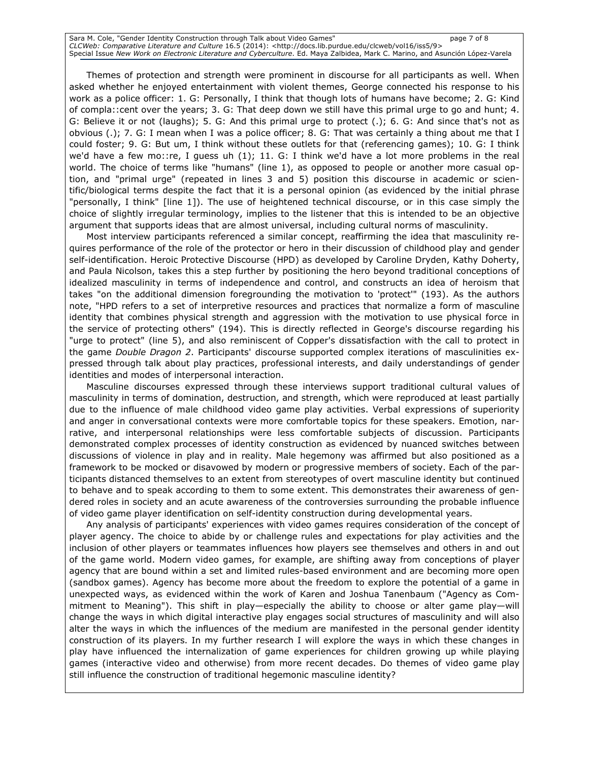Sara M. Cole, "Gender Identity Construction through Talk about Video Games" page 7 of 8 CLCWeb: Comparative Literature and Culture 16.5 (2014): <http://docs.lib.purdue.edu/clcweb/vol16/iss5/9> Special Issue New Work on Electronic Literature and Cyberculture. Ed. Maya Zalbidea, Mark C. Marino, and Asunción López-Varela

Themes of protection and strength were prominent in discourse for all participants as well. When asked whether he enjoyed entertainment with violent themes, George connected his response to his work as a police officer: 1. G: Personally, I think that though lots of humans have become; 2. G: Kind of compla::cent over the years; 3. G: That deep down we still have this primal urge to go and hunt; 4. G: Believe it or not (laughs); 5. G: And this primal urge to protect (.); 6. G: And since that's not as obvious (.); 7. G: I mean when I was a police officer; 8. G: That was certainly a thing about me that I could foster; 9. G: But um, I think without these outlets for that (referencing games); 10. G: I think we'd have a few mo::re, I guess uh (1); 11. G: I think we'd have a lot more problems in the real world. The choice of terms like "humans" (line 1), as opposed to people or another more casual option, and "primal urge" (repeated in lines 3 and 5) position this discourse in academic or scientific/biological terms despite the fact that it is a personal opinion (as evidenced by the initial phrase "personally, I think" [line 1]). The use of heightened technical discourse, or in this case simply the choice of slightly irregular terminology, implies to the listener that this is intended to be an objective argument that supports ideas that are almost universal, including cultural norms of masculinity.

Most interview participants referenced a similar concept, reaffirming the idea that masculinity requires performance of the role of the protector or hero in their discussion of childhood play and gender self-identification. Heroic Protective Discourse (HPD) as developed by Caroline Dryden, Kathy Doherty, and Paula Nicolson, takes this a step further by positioning the hero beyond traditional conceptions of idealized masculinity in terms of independence and control, and constructs an idea of heroism that takes "on the additional dimension foregrounding the motivation to 'protect'" (193). As the authors note, "HPD refers to a set of interpretive resources and practices that normalize a form of masculine identity that combines physical strength and aggression with the motivation to use physical force in the service of protecting others" (194). This is directly reflected in George's discourse regarding his "urge to protect" (line 5), and also reminiscent of Copper's dissatisfaction with the call to protect in the game Double Dragon 2. Participants' discourse supported complex iterations of masculinities expressed through talk about play practices, professional interests, and daily understandings of gender identities and modes of interpersonal interaction.

Masculine discourses expressed through these interviews support traditional cultural values of masculinity in terms of domination, destruction, and strength, which were reproduced at least partially due to the influence of male childhood video game play activities. Verbal expressions of superiority and anger in conversational contexts were more comfortable topics for these speakers. Emotion, narrative, and interpersonal relationships were less comfortable subjects of discussion. Participants demonstrated complex processes of identity construction as evidenced by nuanced switches between discussions of violence in play and in reality. Male hegemony was affirmed but also positioned as a framework to be mocked or disavowed by modern or progressive members of society. Each of the participants distanced themselves to an extent from stereotypes of overt masculine identity but continued to behave and to speak according to them to some extent. This demonstrates their awareness of gendered roles in society and an acute awareness of the controversies surrounding the probable influence of video game player identification on self-identity construction during developmental years.

Any analysis of participants' experiences with video games requires consideration of the concept of player agency. The choice to abide by or challenge rules and expectations for play activities and the inclusion of other players or teammates influences how players see themselves and others in and out of the game world. Modern video games, for example, are shifting away from conceptions of player agency that are bound within a set and limited rules-based environment and are becoming more open (sandbox games). Agency has become more about the freedom to explore the potential of a game in unexpected ways, as evidenced within the work of Karen and Joshua Tanenbaum ("Agency as Commitment to Meaning"). This shift in play—especially the ability to choose or alter game play—will change the ways in which digital interactive play engages social structures of masculinity and will also alter the ways in which the influences of the medium are manifested in the personal gender identity construction of its players. In my further research I will explore the ways in which these changes in play have influenced the internalization of game experiences for children growing up while playing games (interactive video and otherwise) from more recent decades. Do themes of video game play still influence the construction of traditional hegemonic masculine identity?